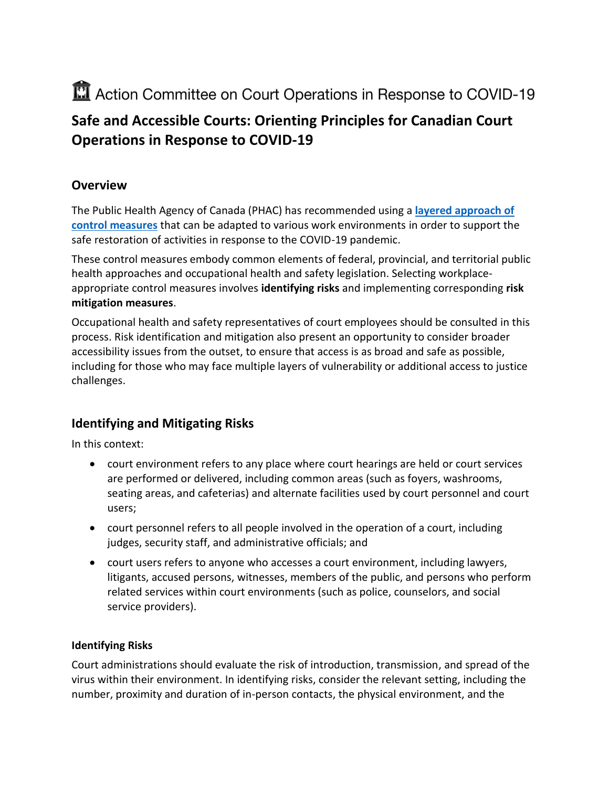# Action Committee on Court Operations in Response to COVID-19

## **Safe and Accessible Courts: Orienting Principles for Canadian Court Operations in Response to COVID-19**

## **Overview**

The Public Health Agency of Canada (PHAC) has recommended using a **[layered approach of](https://www.canada.ca/en/public-health/services/diseases/2019-novel-coronavirus-infection/health-professionals/public-health-measures-mitigate-covid-19.html)  [control measures](https://www.canada.ca/en/public-health/services/diseases/2019-novel-coronavirus-infection/health-professionals/public-health-measures-mitigate-covid-19.html)** that can be adapted to various work environments in order to support the safe restoration of activities in response to the COVID-19 pandemic.

These control measures embody common elements of federal, provincial, and territorial public health approaches and occupational health and safety legislation. Selecting workplaceappropriate control measures involves **identifying risks** and implementing corresponding **risk mitigation measures**.

Occupational health and safety representatives of court employees should be consulted in this process. Risk identification and mitigation also present an opportunity to consider broader accessibility issues from the outset, to ensure that access is as broad and safe as possible, including for those who may face multiple layers of vulnerability or additional access to justice challenges.

## **Identifying and Mitigating Risks**

In this context:

- court environment refers to any place where court hearings are held or court services are performed or delivered, including common areas (such as foyers, washrooms, seating areas, and cafeterias) and alternate facilities used by court personnel and court users;
- court personnel refers to all people involved in the operation of a court, including judges, security staff, and administrative officials; and
- court users refers to anyone who accesses a court environment, including lawyers, litigants, accused persons, witnesses, members of the public, and persons who perform related services within court environments (such as police, counselors, and social service providers).

### **Identifying Risks**

Court administrations should evaluate the risk of introduction, transmission, and spread of the virus within their environment. In identifying risks, consider the relevant setting, including the number, proximity and duration of in-person contacts, the physical environment, and the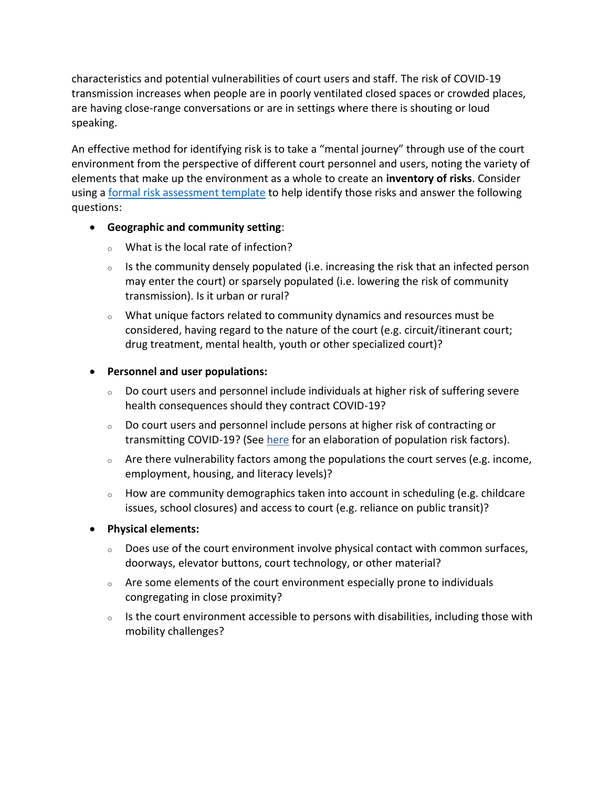characteristics and potential vulnerabilities of court users and staff. The risk of COVID-19 transmission increases when people are in poorly ventilated closed spaces or crowded places, are having close-range conversations or are in settings where there is shouting or loud speaking.

An effective method for identifying risk is to take a "mental journey" through use of the court environment from the perspective of different court personnel and users, noting the variety of elements that make up the environment as a whole to create an **inventory of risks**. Consider using a [formal risk assessment template](https://www.ccohs.ca/oshanswers/hsprograms/sample_risk.html) to help identify those risks and answer the following questions:

#### **Geographic and community setting**:

- <sup>o</sup> What is the local rate of infection?
- $\circ$  Is the community densely populated (i.e. increasing the risk that an infected person may enter the court) or sparsely populated (i.e. lowering the risk of community transmission). Is it urban or rural?
- $\circ$  What unique factors related to community dynamics and resources must be considered, having regard to the nature of the court (e.g. circuit/itinerant court; drug treatment, mental health, youth or other specialized court)?

#### **Personnel and user populations:**

- $\circ$  Do court users and personnel include individuals at higher risk of suffering severe health consequences should they contract COVID-19?
- <sup>o</sup> Do court users and personnel include persons at higher risk of contracting or transmitting COVID-19? (See [here](https://www.canada.ca/en/public-health/services/publications/diseases-conditions/vulnerable-populations-covid-19.html) for an elaboration of population risk factors).
- <sup>o</sup> Are there vulnerability factors among the populations the court serves (e.g. income, employment, housing, and literacy levels)?
- $\circ$  How are community demographics taken into account in scheduling (e.g. childcare issues, school closures) and access to court (e.g. reliance on public transit)?
- **Physical elements:** 
	- $\circ$  Does use of the court environment involve physical contact with common surfaces, doorways, elevator buttons, court technology, or other material?
	- $\circ$  Are some elements of the court environment especially prone to individuals congregating in close proximity?
	- o Is the court environment accessible to persons with disabilities, including those with mobility challenges?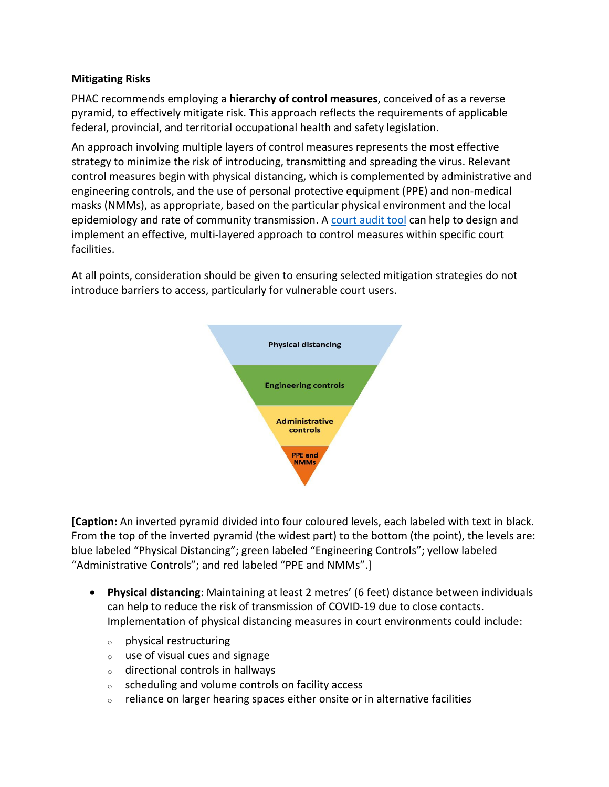#### **Mitigating Risks**

PHAC recommends employing a **hierarchy of control measures**, conceived of as a reverse pyramid, to effectively mitigate risk. This approach reflects the requirements of applicable federal, provincial, and territorial occupational health and safety legislation.

An approach involving multiple layers of control measures represents the most effective strategy to minimize the risk of introducing, transmitting and spreading the virus. Relevant control measures begin with physical distancing, which is complemented by administrative and engineering controls, and the use of personal protective equipment (PPE) and non-medical masks (NMMs), as appropriate, based on the particular physical environment and the local epidemiology and rate of community transmission. A [court audit tool](https://www.ccohs.ca/products/publications/covid-19-tipsheets/courtaudittool.html) can help to design and implement an effective, multi-layered approach to control measures within specific court facilities.

At all points, consideration should be given to ensuring selected mitigation strategies do not introduce barriers to access, particularly for vulnerable court users.



**[Caption:** An inverted pyramid divided into four coloured levels, each labeled with text in black. From the top of the inverted pyramid (the widest part) to the bottom (the point), the levels are: blue labeled "Physical Distancing"; green labeled "Engineering Controls"; yellow labeled "Administrative Controls"; and red labeled "PPE and NMMs".]

- **Physical distancing**: Maintaining at least 2 metres' (6 feet) distance between individuals can help to reduce the risk of transmission of COVID-19 due to close contacts. Implementation of physical distancing measures in court environments could include:
	- <sup>o</sup> physical restructuring
	- <sup>o</sup> use of visual cues and signage
	- <sup>o</sup> directional controls in hallways
	- <sup>o</sup> scheduling and volume controls on facility access
	- $\circ$  reliance on larger hearing spaces either onsite or in alternative facilities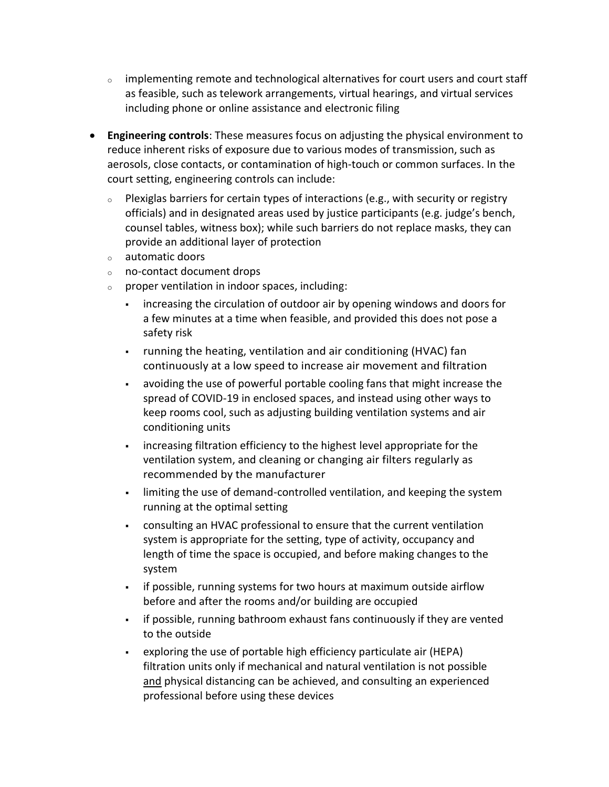- $\circ$  implementing remote and technological alternatives for court users and court staff as feasible, such as telework arrangements, virtual hearings, and virtual services including phone or online assistance and electronic filing
- **Engineering controls**: These measures focus on adjusting the physical environment to reduce inherent risks of exposure due to various modes of transmission, such as aerosols, close contacts, or contamination of high-touch or common surfaces. In the court setting, engineering controls can include:
	- $\circ$  Plexiglas barriers for certain types of interactions (e.g., with security or registry officials) and in designated areas used by justice participants (e.g. judge's bench, counsel tables, witness box); while such barriers do not replace masks, they can provide an additional layer of protection
	- <sup>o</sup> automatic doors
	- <sup>o</sup> no-contact document drops
	- $\circ$  proper ventilation in indoor spaces, including:
		- increasing the circulation of outdoor air by opening windows and doors for a few minutes at a time when feasible, and provided this does not pose a safety risk
		- running the heating, ventilation and air conditioning (HVAC) fan continuously at a low speed to increase air movement and filtration
		- avoiding the use of powerful portable cooling fans that might increase the spread of COVID-19 in enclosed spaces, and instead using other ways to keep rooms cool, such as adjusting building ventilation systems and air conditioning units
		- increasing filtration efficiency to the highest level appropriate for the ventilation system, and cleaning or changing air filters regularly as recommended by the manufacturer
		- limiting the use of demand-controlled ventilation, and keeping the system running at the optimal setting
		- consulting an HVAC professional to ensure that the current ventilation system is appropriate for the setting, type of activity, occupancy and length of time the space is occupied, and before making changes to the system
		- **Figure 1** if possible, running systems for two hours at maximum outside airflow before and after the rooms and/or building are occupied
		- if possible, running bathroom exhaust fans continuously if they are vented to the outside
		- exploring the use of portable high efficiency particulate air (HEPA) filtration units only if mechanical and natural ventilation is not possible and physical distancing can be achieved, and consulting an experienced professional before using these devices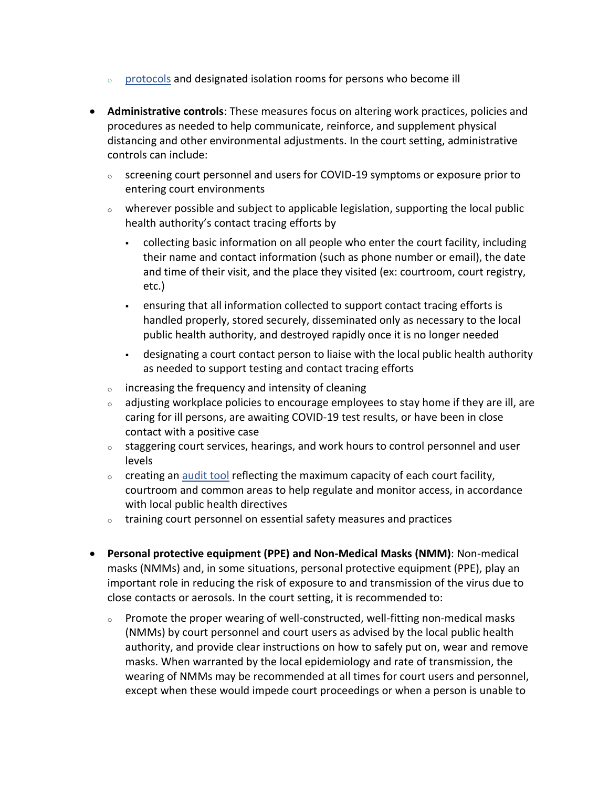- $\circ$  [protocols](https://www.ccohs.ca/products/publications/covid-19-tipsheets/symptomappearance.html) and designated isolation rooms for persons who become ill
- **Administrative controls**: These measures focus on altering work practices, policies and procedures as needed to help communicate, reinforce, and supplement physical distancing and other environmental adjustments. In the court setting, administrative controls can include:
	- <sup>o</sup> screening court personnel and users for COVID-19 symptoms or exposure prior to entering court environments
	- $\circ$  wherever possible and subject to applicable legislation, supporting the local public health authority's contact tracing efforts by
		- collecting basic information on all people who enter the court facility, including their name and contact information (such as phone number or email), the date and time of their visit, and the place they visited (ex: courtroom, court registry, etc.)
		- ensuring that all information collected to support contact tracing efforts is handled properly, stored securely, disseminated only as necessary to the local public health authority, and destroyed rapidly once it is no longer needed
		- designating a court contact person to liaise with the local public health authority as needed to support testing and contact tracing efforts
	- <sup>o</sup> increasing the frequency and intensity of cleaning
	- $\circ$  adjusting workplace policies to encourage employees to stay home if they are ill, are caring for ill persons, are awaiting COVID-19 test results, or have been in close contact with a positive case
	- $\circ$  staggering court services, hearings, and work hours to control personnel and user levels
	- $\circ$  creating an [audit tool](https://www.ccohs.ca/products/publications/covid-19-tipsheets/courtaudittool.html) reflecting the maximum capacity of each court facility, courtroom and common areas to help regulate and monitor access, in accordance with local public health directives
	- $\circ$  training court personnel on essential safety measures and practices
- **Personal protective equipment (PPE) and Non-Medical Masks (NMM)**: Non-medical masks (NMMs) and, in some situations, personal protective equipment (PPE), play an important role in reducing the risk of exposure to and transmission of the virus due to close contacts or aerosols. In the court setting, it is recommended to:
	- <sup>o</sup> Promote the proper wearing of well-constructed, well-fitting non-medical masks (NMMs) by court personnel and court users as advised by the local public health authority, and provide clear instructions on how to safely put on, wear and remove masks. When warranted by the local epidemiology and rate of transmission, the wearing of NMMs may be recommended at all times for court users and personnel, except when these would impede court proceedings or when a person is unable to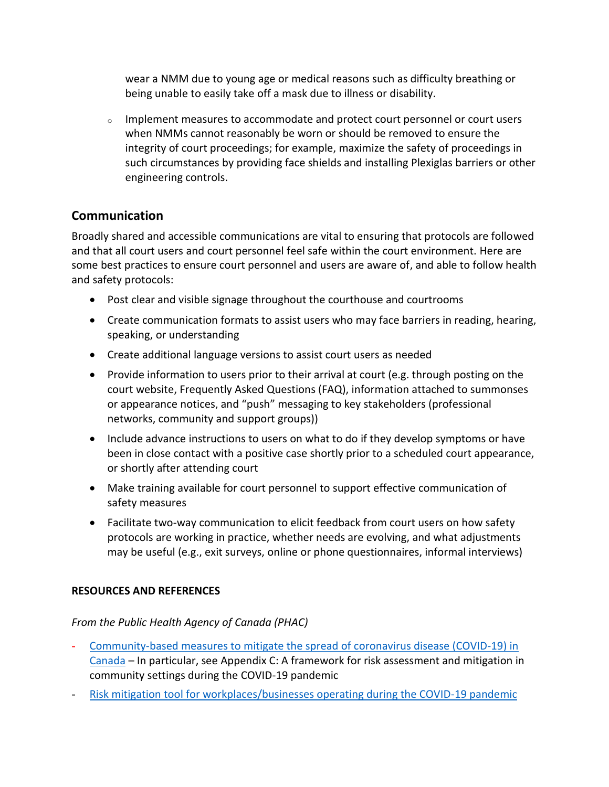wear a NMM due to young age or medical reasons such as difficulty breathing or being unable to easily take off a mask due to illness or disability.

 $\circ$  Implement measures to accommodate and protect court personnel or court users when NMMs cannot reasonably be worn or should be removed to ensure the integrity of court proceedings; for example, maximize the safety of proceedings in such circumstances by providing face shields and installing Plexiglas barriers or other engineering controls.

## **Communication**

Broadly shared and accessible communications are vital to ensuring that protocols are followed and that all court users and court personnel feel safe within the court environment. Here are some best practices to ensure court personnel and users are aware of, and able to follow health and safety protocols:

- Post clear and visible signage throughout the courthouse and courtrooms
- Create communication formats to assist users who may face barriers in reading, hearing, speaking, or understanding
- Create additional language versions to assist court users as needed
- Provide information to users prior to their arrival at court (e.g. through posting on the court website, Frequently Asked Questions (FAQ), information attached to summonses or appearance notices, and "push" messaging to key stakeholders (professional networks, community and support groups))
- Include advance instructions to users on what to do if they develop symptoms or have been in close contact with a positive case shortly prior to a scheduled court appearance, or shortly after attending court
- Make training available for court personnel to support effective communication of safety measures
- Facilitate two-way communication to elicit feedback from court users on how safety protocols are working in practice, whether needs are evolving, and what adjustments may be useful (e.g., exit surveys, online or phone questionnaires, informal interviews)

#### **RESOURCES AND REFERENCES**

#### *From the Public Health Agency of Canada (PHAC)*

- [Community-based measures to mitigate the spread of coronavirus disease \(COVID-19\) in](https://www.canada.ca/en/public-health/services/diseases/2019-novel-coronavirus-infection/health-professionals/public-health-measures-mitigate-covid-19.html#_Community_gathering_spaces)  [Canada](https://www.canada.ca/en/public-health/services/diseases/2019-novel-coronavirus-infection/health-professionals/public-health-measures-mitigate-covid-19.html#_Community_gathering_spaces) – In particular, see Appendix C: A framework for risk assessment and mitigation in community settings during the COVID-19 pandemic
- [Risk mitigation tool for workplaces/businesses operating during the COVID-19 pandemic](https://www.canada.ca/en/public-health/services/diseases/2019-novel-coronavirus-infection/guidance-documents/risk-informed-decision-making-workplaces-businesses-covid-19-pandemic.html)